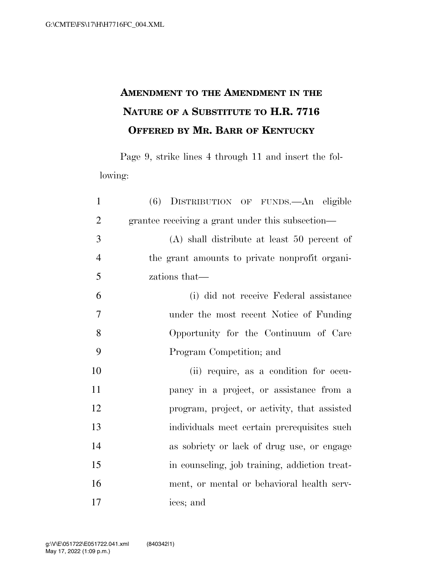## **AMENDMENT TO THE AMENDMENT IN THE NATURE OF A SUBSTITUTE TO H.R. 7716 OFFERED BY MR. BARR OF KENTUCKY**

Page 9, strike lines 4 through 11 and insert the following:

| $\mathbf{1}$   | (6) DISTRIBUTION OF FUNDS.—An eligible           |
|----------------|--------------------------------------------------|
| $\overline{2}$ | grantee receiving a grant under this subsection— |
| 3              | $(A)$ shall distribute at least 50 percent of    |
| $\overline{4}$ | the grant amounts to private nonprofit organi-   |
| 5              | zations that—                                    |
| 6              | (i) did not receive Federal assistance           |
| $\overline{7}$ | under the most recent Notice of Funding          |
| 8              | Opportunity for the Continuum of Care            |
| 9              | Program Competition; and                         |
| 10             | (ii) require, as a condition for occu-           |
| 11             | pancy in a project, or assistance from a         |
| 12             | program, project, or activity, that assisted     |
| 13             | individuals meet certain prerequisites such      |
| 14             | as sobriety or lack of drug use, or engage       |
| 15             | in counseling, job training, addiction treat-    |
| 16             | ment, or mental or behavioral health serv-       |
| 17             | ices; and                                        |